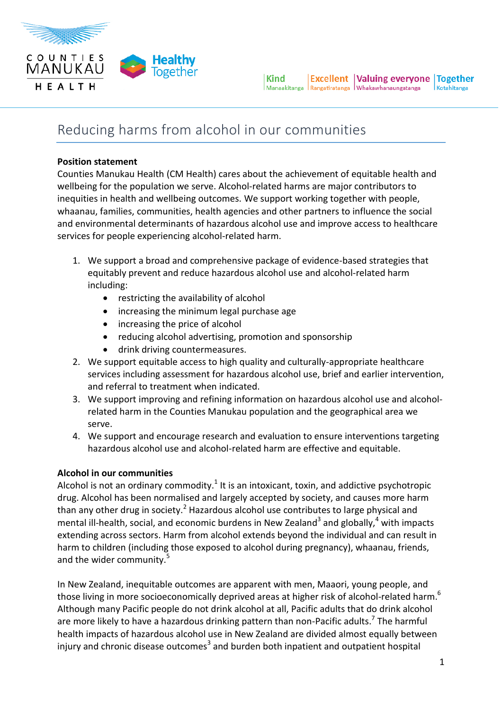

# Reducing harms from alcohol in our communities

### **Position statement**

Counties Manukau Health (CM Health) cares about the achievement of equitable health and wellbeing for the population we serve. Alcohol-related harms are major contributors to inequities in health and wellbeing outcomes. We support working together with people, whaanau, families, communities, health agencies and other partners to influence the social and environmental determinants of hazardous alcohol use and improve access to healthcare services for people experiencing alcohol-related harm.

- 1. We support a broad and comprehensive package of evidence-based strategies that equitably prevent and reduce hazardous alcohol use and alcohol-related harm including:
	- restricting the availability of alcohol
	- increasing the minimum legal purchase age
	- increasing the price of alcohol
	- reducing alcohol advertising, promotion and sponsorship
	- drink driving countermeasures.
- 2. We support equitable access to high quality and culturally-appropriate healthcare services including assessment for hazardous alcohol use, brief and earlier intervention, and referral to treatment when indicated.
- 3. We support improving and refining information on hazardous alcohol use and alcoholrelated harm in the Counties Manukau population and the geographical area we serve.
- 4. We support and encourage research and evaluation to ensure interventions targeting hazardous alcohol use and alcohol-related harm are effective and equitable.

# **Alcohol in our communities**

Alcohol is not an ordinary commodity. $^1$  It is an intoxicant, toxin, and addictive psychotropic drug. Alcohol has been normalised and largely accepted by society, and causes more harm than any other drug in society.<sup>2</sup> Hazardous alcohol use contributes to large physical and mental ill-health, social, and economic burdens in New Zealand<sup>3</sup> and globally,<sup>4</sup> with impacts extending across sectors. Harm from alcohol extends beyond the individual and can result in harm to children (including those exposed to alcohol during pregnancy), whaanau, friends, and the wider community.<sup>5</sup>

In New Zealand, inequitable outcomes are apparent with men, Maaori, young people, and those living in more socioeconomically deprived areas at higher risk of alcohol-related harm. $^6$ Although many Pacific people do not drink alcohol at all, Pacific adults that do drink alcohol are more likely to have a hazardous drinking pattern than non-Pacific adults.<sup>7</sup> The harmful health impacts of hazardous alcohol use in New Zealand are divided almost equally between injury and chronic disease outcomes<sup>3</sup> and burden both inpatient and outpatient hospital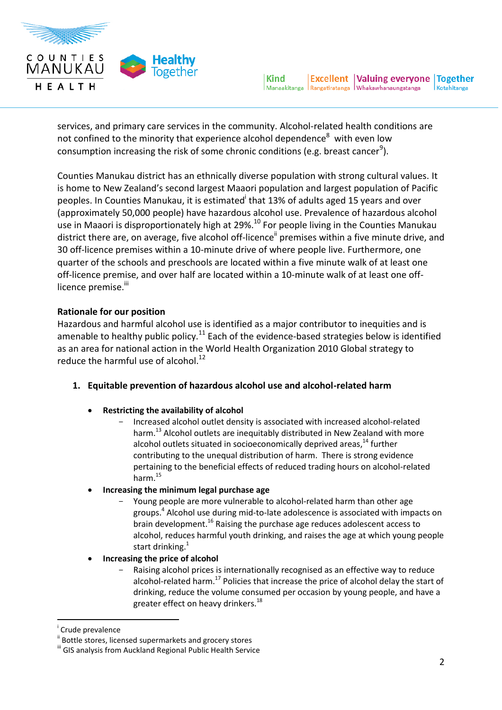

services, and primary care services in the community. Alcohol-related health conditions are not confined to the minority that experience alcohol dependence $8$  with even low consumption increasing the risk of some chronic conditions (e.g. breast cancer $^9$ ).

Counties Manukau district has an ethnically diverse population with strong cultural values. It is home to New Zealand's second largest Maaori population and largest population of Pacific peoples. In Counties Manukau, it is estimated<sup>i</sup> that 13% of adults aged 15 years and over (approximately 50,000 people) have hazardous alcohol use. Prevalence of hazardous alcohol use in Maaori is disproportionately high at 29%.<sup>10</sup> For people living in the Counties Manukau district there are, on average, five alcohol off-licence<sup>ii</sup> premises within a five minute drive, and 30 off-licence premises within a 10-minute drive of where people live. Furthermore, one quarter of the schools and preschools are located within a five minute walk of at least one off-licence premise, and over half are located within a 10-minute walk of at least one offlicence premise.<sup>iii</sup>

#### **Rationale for our position**

Hazardous and harmful alcohol use is identified as a major contributor to inequities and is amenable to healthy public policy.<sup>11</sup> Each of the evidence-based strategies below is identified as an area for national action in the World Health Organization 2010 Global strategy to reduce the harmful use of alcohol.<sup>12</sup>

- **1. Equitable prevention of hazardous alcohol use and alcohol-related harm**
	- **Restricting the availability of alcohol**
		- Increased alcohol outlet density is associated with increased alcohol-related harm.<sup>13</sup> Alcohol outlets are inequitably distributed in New Zealand with more alcohol outlets situated in socioeconomically deprived areas,<sup>14</sup> further contributing to the unequal distribution of harm. There is strong evidence pertaining to the beneficial effects of reduced trading hours on alcohol-related harm.<sup>15</sup>
	- **Increasing the minimum legal purchase age**
		- Young people are more vulnerable to alcohol-related harm than other age groups.<sup>4</sup> Alcohol use during mid-to-late adolescence is associated with impacts on brain development.<sup>16</sup> Raising the purchase age reduces adolescent access to alcohol, reduces harmful youth drinking, and raises the age at which young people start drinking.<sup>1</sup>
	- **Increasing the price of alcohol**
		- Raising alcohol prices is internationally recognised as an effective way to reduce alcohol-related harm.<sup>17</sup> Policies that increase the price of alcohol delay the start of drinking, reduce the volume consumed per occasion by young people, and have a greater effect on heavy drinkers.<sup>18</sup>

 $\overline{a}$ 

i Crude prevalence

Bottle stores, licensed supermarkets and grocery stores

iii GIS analysis from Auckland Regional Public Health Service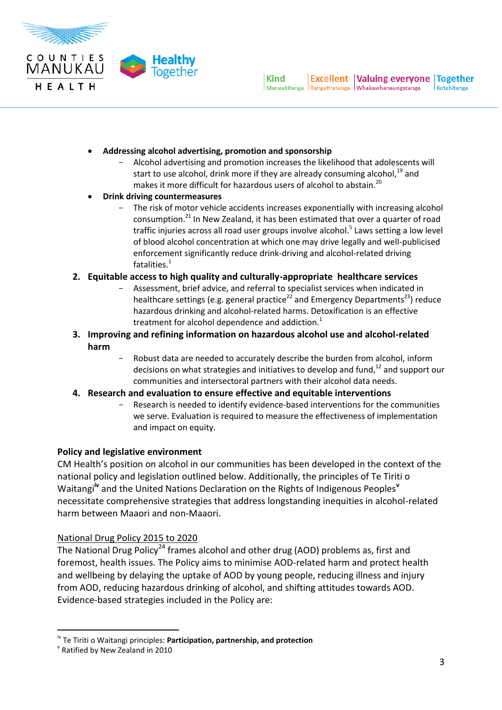

- **Addressing alcohol advertising, promotion and sponsorship**
	- Alcohol advertising and promotion increases the likelihood that adolescents will start to use alcohol, drink more if they are already consuming alcohol,  $^{19}$  and makes it more difficult for hazardous users of alcohol to abstain.<sup>20</sup>
- **Drink driving countermeasures**
	- The risk of motor vehicle accidents increases exponentially with increasing alcohol consumption. $^{21}$  In New Zealand, it has been estimated that over a quarter of road traffic injuries across all road user groups involve alcohol.<sup>5</sup> Laws setting a low level of blood alcohol concentration at which one may drive legally and well-publicised enforcement significantly reduce drink-driving and alcohol-related driving fatalities. $1$

#### **2. Equitable access to high quality and culturally-appropriate healthcare services**

- Assessment, brief advice, and referral to specialist services when indicated in healthcare settings (e.g. general practice<sup>22</sup> and Emergency Departments<sup>23</sup>) reduce hazardous drinking and alcohol-related harms. Detoxification is an effective treatment for alcohol dependence and addiction. $<sup>1</sup>$ </sup>
- **3. Improving and refining information on hazardous alcohol use and alcohol-related harm**
	- Robust data are needed to accurately describe the burden from alcohol, inform decisions on what strategies and initiatives to develop and fund, $^{12}$  and support our communities and intersectoral partners with their alcohol data needs.
- **4. Research and evaluation to ensure effective and equitable interventions** 
	- Research is needed to identify evidence-based interventions for the communities we serve. Evaluation is required to measure the effectiveness of implementation and impact on equity.

#### **Policy and legislative environment**

CM Health's position on alcohol in our communities has been developed in the context of the national policy and legislation outlined below. Additionally, the principles of Te Tiriti o Waitangi**iv** and the United Nations Declaration on the Rights of Indigenous Peoples**<sup>v</sup>** necessitate comprehensive strategies that address longstanding inequities in alcohol-related harm between Maaori and non-Maaori.

# National Drug Policy 2015 to 2020

The National Drug Policy<sup>24</sup> frames alcohol and other drug (AOD) problems as, first and foremost, health issues. The Policy aims to minimise AOD-related harm and protect health and wellbeing by delaying the uptake of AOD by young people, reducing illness and injury from AOD, reducing hazardous drinking of alcohol, and shifting attitudes towards AOD. Evidence-based strategies included in the Policy are:

l

iv Te Tiriti o Waitangi principles: **Participation, partnership, and protection**

v Ratified by New Zealand in 2010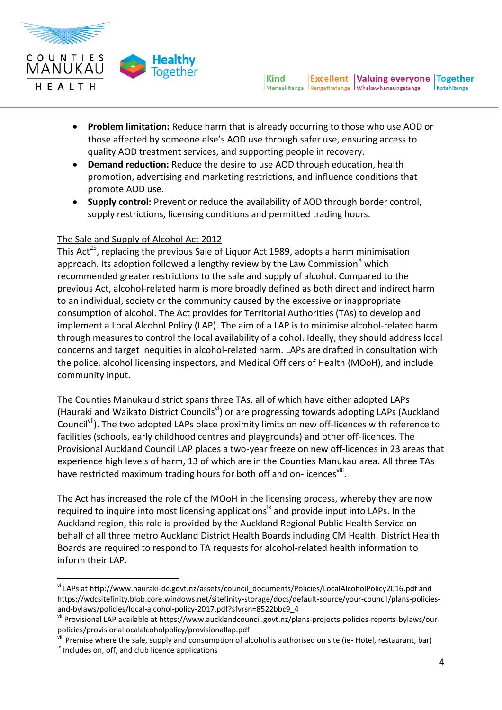

- **Problem limitation:** Reduce harm that is already occurring to those who use AOD or those affected by someone else's AOD use through safer use, ensuring access to quality AOD treatment services, and supporting people in recovery.
- **Demand reduction:** Reduce the desire to use AOD through education, health promotion, advertising and marketing restrictions, and influence conditions that promote AOD use.
- **Supply control:** Prevent or reduce the availability of AOD through border control, supply restrictions, licensing conditions and permitted trading hours.

# The Sale and Supply of Alcohol Act 2012

This Act<sup>25</sup>, replacing the previous Sale of Liquor Act 1989, adopts a harm minimisation approach. Its adoption followed a lengthy review by the Law Commission $<sup>8</sup>$  which</sup> recommended greater restrictions to the sale and supply of alcohol. Compared to the previous Act, alcohol-related harm is more broadly defined as both direct and indirect harm to an individual, society or the community caused by the excessive or inappropriate consumption of alcohol. The Act provides for Territorial Authorities (TAs) to develop and implement a Local Alcohol Policy (LAP). The aim of a LAP is to minimise alcohol-related harm through measures to control the local availability of alcohol. Ideally, they should address local concerns and target inequities in alcohol-related harm. LAPs are drafted in consultation with the police, alcohol licensing inspectors, and Medical Officers of Health (MOoH), and include community input.

The Counties Manukau district spans three TAs, all of which have either adopted LAPs (Hauraki and Waikato District Councils<sup>vi</sup>) or are progressing towards adopting LAPs (Auckland Council<sup>vii</sup>). The two adopted LAPs place proximity limits on new off-licences with reference to facilities (schools, early childhood centres and playgrounds) and other off-licences. The Provisional Auckland Council LAP places a two-year freeze on new off-licences in 23 areas that experience high levels of harm, 13 of which are in the Counties Manukau area. All three TAs have restricted maximum trading hours for both off and on-licences<sup>viii</sup>.

The Act has increased the role of the MOoH in the licensing process, whereby they are now required to inquire into most licensing applications<sup>ix</sup> and provide input into LAPs. In the Auckland region, this role is provided by the Auckland Regional Public Health Service on behalf of all three metro Auckland District Health Boards including CM Health. District Health Boards are required to respond to TA requests for alcohol-related health information to inform their LAP.

 $\overline{a}$ 

vi LAPs at [http://www.hauraki-dc.govt.nz/assets/council\\_documents/Policies/LocalAlcoholPolicy2016.p](http://www.hauraki-dc.govt.nz/assets/council_documents/Policies/LocalAlcoholPolicy2016)df and https://wdcsitefinity.blob.core.windows.net/sitefinity-storage/docs/default-source/your-council/plans-policiesand-bylaws/policies/local-alcohol-policy-2017.pdf?sfvrsn=8522bbc9\_4

vii Provisional LAP available at https://www.aucklandcouncil.govt.nz/plans-projects-policies-reports-bylaws/ourpolicies/provisionallocalalcoholpolicy/provisionallap.pdf

<sup>&</sup>lt;sup>viii</sup> Premise where the sale, supply and consumption of alcohol is authorised on site (ie- Hotel, restaurant, bar)